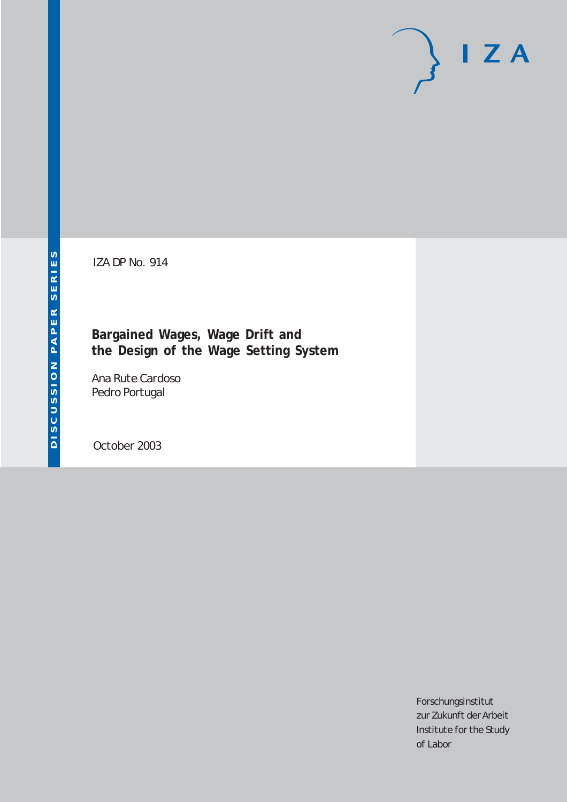# $I Z A$

IZA DP No. 914

**Bargained Wages, Wage Drift and the Design of the Wage Setting System**

Ana Rute Cardoso Pedro Portugal

October 2003

Forschungsinstitut zur Zukunft der Arbeit Institute for the Study of Labor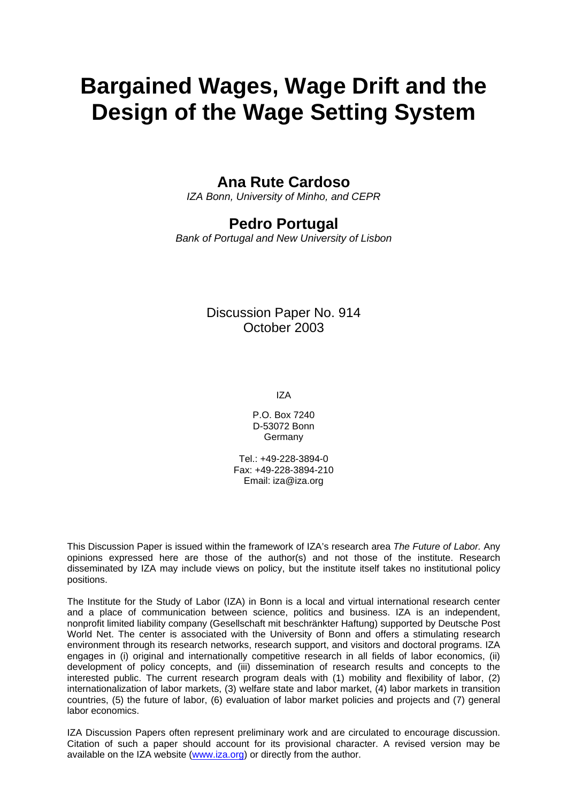# **Bargained Wages, Wage Drift and the Design of the Wage Setting System**

## **Ana Rute Cardoso**

*IZA Bonn, University of Minho, and CEPR* 

## **Pedro Portugal**

*Bank of Portugal and New University of Lisbon*

## Discussion Paper No. 914 October 2003

IZA

P.O. Box 7240 D-53072 Bonn **Germany** 

Tel.: +49-228-3894-0 Fax: +49-228-3894-210 Email: [iza@iza.org](mailto:iza@iza.org)

This Discussion Paper is issued within the framework of IZA's research area *The Future of Labor.* Any opinions expressed here are those of the author(s) and not those of the institute. Research disseminated by IZA may include views on policy, but the institute itself takes no institutional policy positions.

The Institute for the Study of Labor (IZA) in Bonn is a local and virtual international research center and a place of communication between science, politics and business. IZA is an independent, nonprofit limited liability company (Gesellschaft mit beschränkter Haftung) supported by Deutsche Post World Net. The center is associated with the University of Bonn and offers a stimulating research environment through its research networks, research support, and visitors and doctoral programs. IZA engages in (i) original and internationally competitive research in all fields of labor economics, (ii) development of policy concepts, and (iii) dissemination of research results and concepts to the interested public. The current research program deals with (1) mobility and flexibility of labor, (2) internationalization of labor markets, (3) welfare state and labor market, (4) labor markets in transition countries, (5) the future of labor, (6) evaluation of labor market policies and projects and (7) general labor economics.

IZA Discussion Papers often represent preliminary work and are circulated to encourage discussion. Citation of such a paper should account for its provisional character. A revised version may be available on the IZA website ([www.iza.org](http://www.iza.org/)) or directly from the author.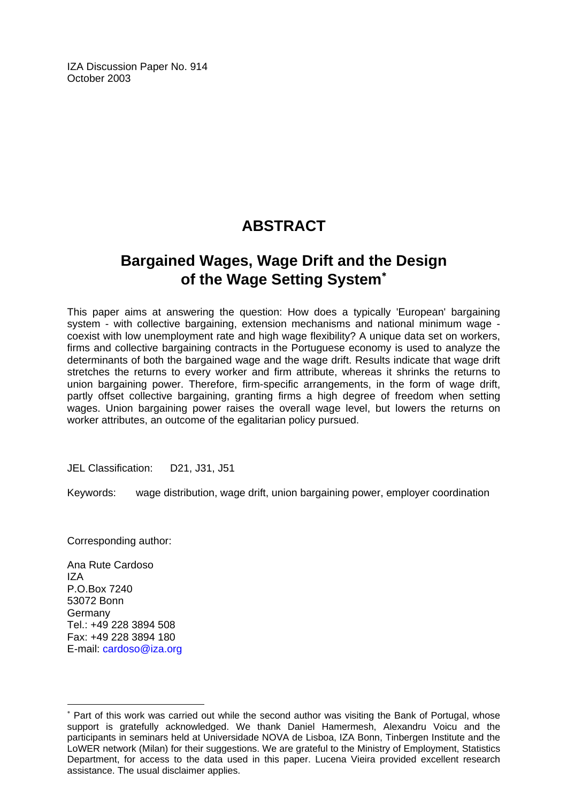IZA Discussion Paper No. 914 October 2003

## **ABSTRACT**

## **Bargained Wages, Wage Drift and the Design of the Wage Setting System**[∗](#page-2-0)

This paper aims at answering the question: How does a typically 'European' bargaining system - with collective bargaining, extension mechanisms and national minimum wage coexist with low unemployment rate and high wage flexibility? A unique data set on workers, firms and collective bargaining contracts in the Portuguese economy is used to analyze the determinants of both the bargained wage and the wage drift. Results indicate that wage drift stretches the returns to every worker and firm attribute, whereas it shrinks the returns to union bargaining power. Therefore, firm-specific arrangements, in the form of wage drift, partly offset collective bargaining, granting firms a high degree of freedom when setting wages. Union bargaining power raises the overall wage level, but lowers the returns on worker attributes, an outcome of the egalitarian policy pursued.

JEL Classification: D21, J31, J51

Keywords: wage distribution, wage drift, union bargaining power, employer coordination

Corresponding author:

Ana Rute Cardoso IZA P.O.Box 7240 53072 Bonn Germany Tel.: +49 228 3894 508 Fax: +49 228 3894 180 E-mail: [cardoso@iza.org](mailto:cardoso@iza.org)

 $\overline{a}$ 

<span id="page-2-0"></span><sup>∗</sup> Part of this work was carried out while the second author was visiting the Bank of Portugal, whose support is gratefully acknowledged. We thank Daniel Hamermesh, Alexandru Voicu and the participants in seminars held at Universidade NOVA de Lisboa, IZA Bonn, Tinbergen Institute and the LoWER network (Milan) for their suggestions. We are grateful to the Ministry of Employment, Statistics Department, for access to the data used in this paper. Lucena Vieira provided excellent research assistance. The usual disclaimer applies.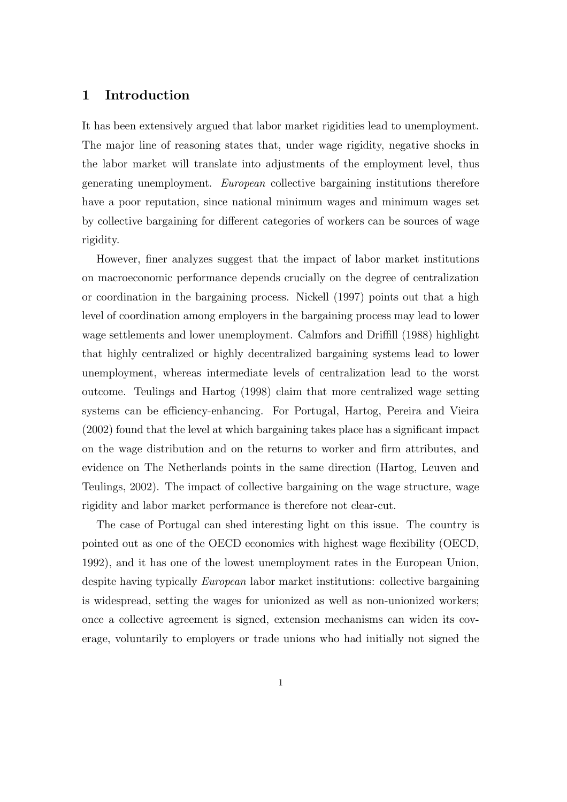#### 1 Introduction

It has been extensively argued that labor market rigidities lead to unemployment. The major line of reasoning states that, under wage rigidity, negative shocks in the labor market will translate into adjustments of the employment level, thus generating unemployment. European collective bargaining institutions therefore have a poor reputation, since national minimum wages and minimum wages set by collective bargaining for different categories of workers can be sources of wage rigidity.

However, finer analyzes suggest that the impact of labor market institutions on macroeconomic performance depends crucially on the degree of centralization or coordination in the bargaining process. Nickell (1997) points out that a high level of coordination among employers in the bargaining process may lead to lower wage settlements and lower unemployment. Calmfors and Driffill (1988) highlight that highly centralized or highly decentralized bargaining systems lead to lower unemployment, whereas intermediate levels of centralization lead to the worst outcome. Teulings and Hartog (1998) claim that more centralized wage setting systems can be efficiency-enhancing. For Portugal, Hartog, Pereira and Vieira  $(2002)$  found that the level at which bargaining takes place has a significant impact on the wage distribution and on the returns to worker and firm attributes, and evidence on The Netherlands points in the same direction (Hartog, Leuven and Teulings, 2002). The impact of collective bargaining on the wage structure, wage rigidity and labor market performance is therefore not clear-cut.

The case of Portugal can shed interesting light on this issue. The country is pointed out as one of the OECD economies with highest wage flexibility (OECD, 1992), and it has one of the lowest unemployment rates in the European Union, despite having typically European labor market institutions: collective bargaining is widespread, setting the wages for unionized as well as non-unionized workers; once a collective agreement is signed, extension mechanisms can widen its coverage, voluntarily to employers or trade unions who had initially not signed the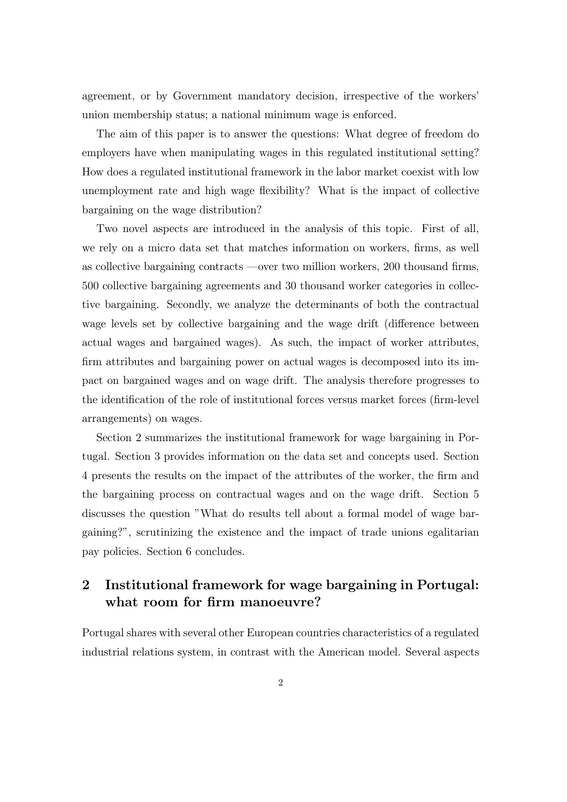agreement, or by Government mandatory decision, irrespective of the workers' union membership status; a national minimum wage is enforced.

The aim of this paper is to answer the questions: What degree of freedom do employers have when manipulating wages in this regulated institutional setting? How does a regulated institutional framework in the labor market coexist with low unemployment rate and high wage flexibility? What is the impact of collective bargaining on the wage distribution?

Two novel aspects are introduced in the analysis of this topic. First of all, we rely on a micro data set that matches information on workers, firms, as well as collective bargaining contracts —over two million workers,  $200$  thousand firms, 500 collective bargaining agreements and 30 thousand worker categories in collective bargaining. Secondly, we analyze the determinants of both the contractual wage levels set by collective bargaining and the wage drift (difference between actual wages and bargained wages). As such, the impact of worker attributes, firm attributes and bargaining power on actual wages is decomposed into its impact on bargained wages and on wage drift. The analysis therefore progresses to the identification of the role of institutional forces versus market forces (firm-level) arrangements) on wages.

Section 2 summarizes the institutional framework for wage bargaining in Portugal. Section 3 provides information on the data set and concepts used. Section 4 presents the results on the impact of the attributes of the worker, the firm and the bargaining process on contractual wages and on the wage drift. Section 5 discusses the question "What do results tell about a formal model of wage bargaining?", scrutinizing the existence and the impact of trade unions egalitarian pay policies. Section 6 concludes.

## 2 Institutional framework for wage bargaining in Portugal: what room for firm manoeuvre?

Portugal shares with several other European countries characteristics of a regulated industrial relations system, in contrast with the American model. Several aspects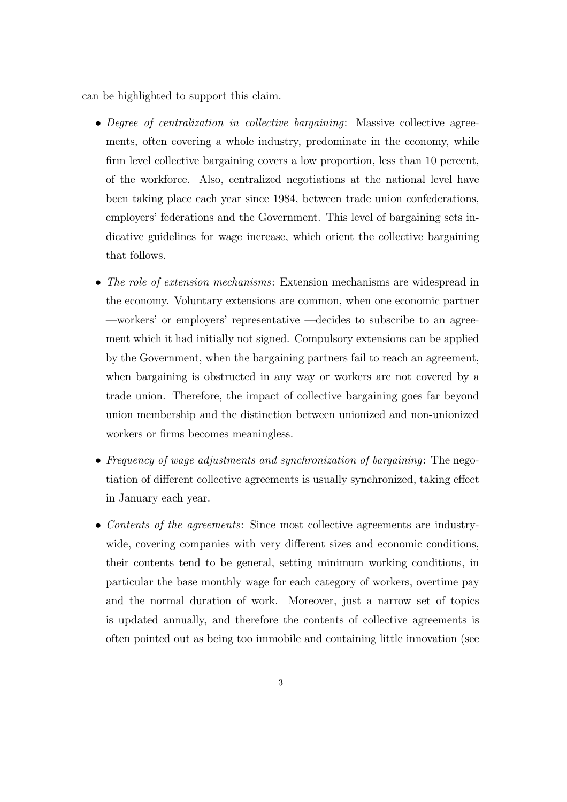can be highlighted to support this claim.

- Degree of centralization in collective bargaining: Massive collective agreements, often covering a whole industry, predominate in the economy, while firm level collective bargaining covers a low proportion, less than 10 percent, of the workforce. Also, centralized negotiations at the national level have been taking place each year since 1984, between trade union confederations, employers' federations and the Government. This level of bargaining sets indicative guidelines for wage increase, which orient the collective bargaining that follows.
- The role of extension mechanisms: Extension mechanisms are widespread in the economy. Voluntary extensions are common, when one economic partner  $-\text{works'}$  or employers' representative  $-\text{decides}$  to subscribe to an agreement which it had initially not signed. Compulsory extensions can be applied by the Government, when the bargaining partners fail to reach an agreement, when bargaining is obstructed in any way or workers are not covered by a trade union. Therefore, the impact of collective bargaining goes far beyond union membership and the distinction between unionized and non-unionized workers or firms becomes meaningless.
- Frequency of wage adjustments and synchronization of bargaining: The negotiation of different collective agreements is usually synchronized, taking effect in January each year.
- Contents of the agreements: Since most collective agreements are industrywide, covering companies with very different sizes and economic conditions, their contents tend to be general, setting minimum working conditions, in particular the base monthly wage for each category of workers, overtime pay and the normal duration of work. Moreover, just a narrow set of topics is updated annually, and therefore the contents of collective agreements is often pointed out as being too immobile and containing little innovation (see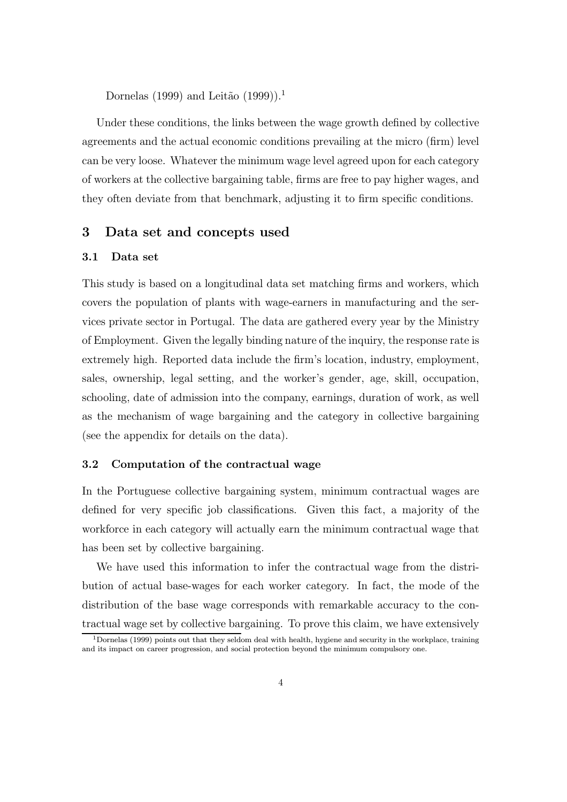Dornelas (1999) and Leitão  $(1999)$ .<sup>1</sup>

Under these conditions, the links between the wage growth defined by collective agreements and the actual economic conditions prevailing at the micro (firm) level can be very loose. Whatever the minimum wage level agreed upon for each category of workers at the collective bargaining table, firms are free to pay higher wages, and they often deviate from that benchmark, adjusting it to firm specific conditions.

#### 3 Data set and concepts used

#### 3.1 Data set

This study is based on a longitudinal data set matching firms and workers, which covers the population of plants with wage-earners in manufacturing and the services private sector in Portugal. The data are gathered every year by the Ministry of Employment. Given the legally binding nature of the inquiry, the response rate is extremely high. Reported data include the firm's location, industry, employment, sales, ownership, legal setting, and the worker's gender, age, skill, occupation, schooling, date of admission into the company, earnings, duration of work, as well as the mechanism of wage bargaining and the category in collective bargaining (see the appendix for details on the data).

#### 3.2 Computation of the contractual wage

In the Portuguese collective bargaining system, minimum contractual wages are defined for very specific job classifications. Given this fact, a majority of the workforce in each category will actually earn the minimum contractual wage that has been set by collective bargaining.

We have used this information to infer the contractual wage from the distribution of actual base-wages for each worker category. In fact, the mode of the distribution of the base wage corresponds with remarkable accuracy to the contractual wage set by collective bargaining. To prove this claim, we have extensively

<sup>1</sup>Dornelas (1999) points out that they seldom deal with health, hygiene and security in the workplace, training and its impact on career progression, and social protection beyond the minimum compulsory one.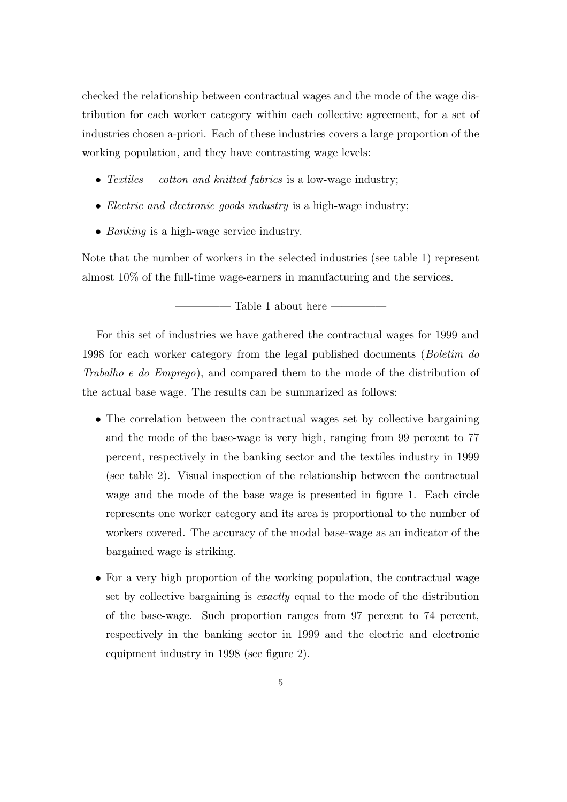checked the relationship between contractual wages and the mode of the wage distribution for each worker category within each collective agreement, for a set of industries chosen a-priori. Each of these industries covers a large proportion of the working population, and they have contrasting wage levels:

- Textiles  $-cotton$  and knitted fabrics is a low-wage industry;
- $\bullet$  *Electric and electronic goods industry* is a high-wage industry;
- Banking is a high-wage service industry.

Note that the number of workers in the selected industries (see table 1) represent almost 10% of the full-time wage-earners in manufacturing and the services.

Table 1 about here

For this set of industries we have gathered the contractual wages for 1999 and 1998 for each worker category from the legal published documents (Boletim do Trabalho e do Emprego), and compared them to the mode of the distribution of the actual base wage. The results can be summarized as follows:

- The correlation between the contractual wages set by collective bargaining and the mode of the base-wage is very high, ranging from 99 percent to 77 percent, respectively in the banking sector and the textiles industry in 1999 (see table 2). Visual inspection of the relationship between the contractual wage and the mode of the base wage is presented in figure 1. Each circle represents one worker category and its area is proportional to the number of workers covered. The accuracy of the modal base-wage as an indicator of the bargained wage is striking.
- For a very high proportion of the working population, the contractual wage set by collective bargaining is exactly equal to the mode of the distribution of the base-wage. Such proportion ranges from 97 percent to 74 percent, respectively in the banking sector in 1999 and the electric and electronic equipment industry in 1998 (see figure 2).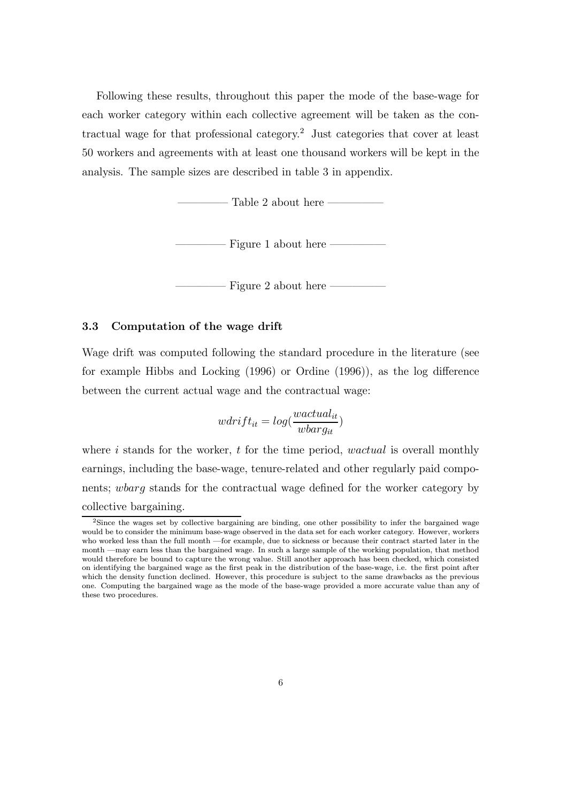Following these results, throughout this paper the mode of the base-wage for each worker category within each collective agreement will be taken as the contractual wage for that professional category. <sup>2</sup> Just categories that cover at least 50 workers and agreements with at least one thousand workers will be kept in the analysis. The sample sizes are described in table 3 in appendix.

Table 2 about here  $\overline{\phantom{a}}$ 

Figure 1 about here  $-$ 

Figure 2 about here -

#### 3.3 Computation of the wage drift

Wage drift was computed following the standard procedure in the literature (see for example Hibbs and Locking  $(1996)$  or Ordine  $(1996)$ , as the log difference between the current actual wage and the contractual wage:

$$
wdrift_{it} = log(\frac{wactual_{it}}{wbarg_{it}})
$$

where  $i$  stands for the worker,  $t$  for the time period, *wactual* is overall monthly earnings, including the base-wage, tenure-related and other regularly paid components; wbarg stands for the contractual wage defined for the worker category by collective bargaining.

<sup>2</sup>Since the wages set by collective bargaining are binding, one other possibility to infer the bargained wage would be to consider the minimum base-wage observed in the data set for each worker category. However, workers who worked less than the full month -for example, due to sickness or because their contract started later in the month  $-may$  earn less than the bargained wage. In such a large sample of the working population, that method would therefore be bound to capture the wrong value. Still another approach has been checked, which consisted on identifying the bargained wage as the first peak in the distribution of the base-wage, i.e. the first point after which the density function declined. However, this procedure is subject to the same drawbacks as the previous one. Computing the bargained wage as the mode of the base-wage provided a more accurate value than any of these two procedures.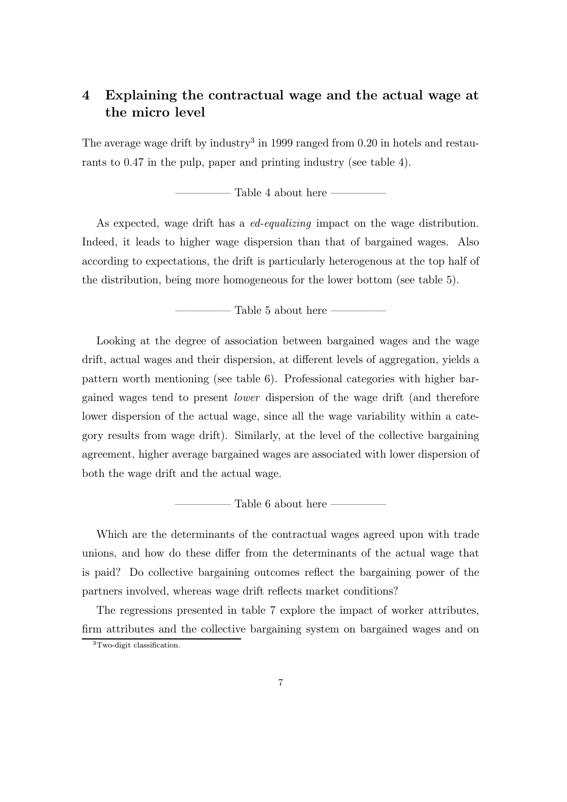## 4 Explaining the contractual wage and the actual wage at the micro level

The average wage drift by industry<sup>3</sup> in 1999 ranged from 0.20 in hotels and restaurants to 0.47 in the pulp, paper and printing industry (see table 4).

Table 4 about here  $\overline{\phantom{a}}$ 

As expected, wage drift has a *ed-equalizing* impact on the wage distribution. Indeed, it leads to higher wage dispersion than that of bargained wages. Also according to expectations, the drift is particularly heterogenous at the top half of the distribution, being more homogeneous for the lower bottom (see table 5).

 $-$  Table 5 about here  $-$ 

Looking at the degree of association between bargained wages and the wage drift, actual wages and their dispersion, at different levels of aggregation, yields a pattern worth mentioning (see table 6). Professional categories with higher bargained wages tend to present lower dispersion of the wage drift (and therefore lower dispersion of the actual wage, since all the wage variability within a category results from wage drift). Similarly, at the level of the collective bargaining agreement, higher average bargained wages are associated with lower dispersion of both the wage drift and the actual wage.

Table 6 about here  $-$ 

Which are the determinants of the contractual wages agreed upon with trade unions, and how do these differ from the determinants of the actual wage that is paid? Do collective bargaining outcomes reflect the bargaining power of the partners involved, whereas wage drift reflects market conditions?

The regressions presented in table 7 explore the impact of worker attributes, firm attributes and the collective bargaining system on bargained wages and on

 $3$ Two-digit classification.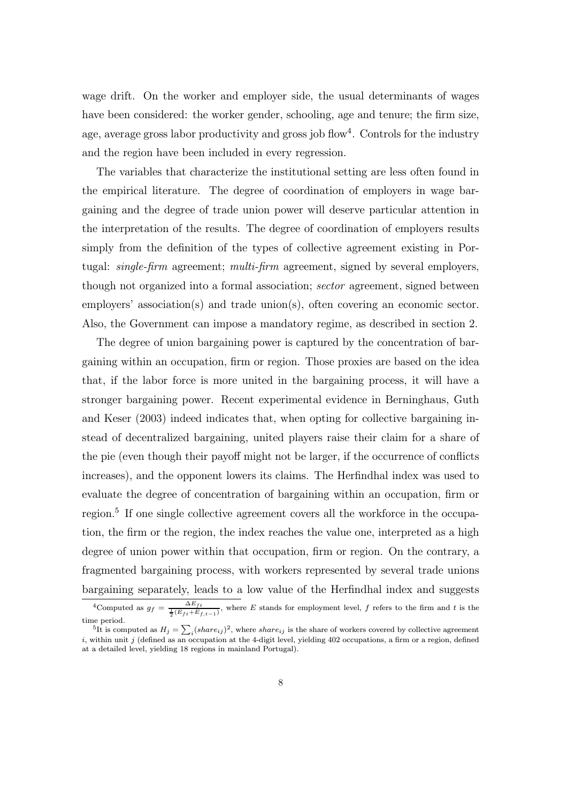wage drift. On the worker and employer side, the usual determinants of wages have been considered: the worker gender, schooling, age and tenure; the firm size, age, average gross labor productivity and gross job flow<sup>4</sup>. Controls for the industry and the region have been included in every regression.

The variables that characterize the institutional setting are less often found in the empirical literature. The degree of coordination of employers in wage bargaining and the degree of trade union power will deserve particular attention in the interpretation of the results. The degree of coordination of employers results simply from the definition of the types of collective agreement existing in Portugal:  $single-firm$  agreement; multi-firm agreement, signed by several employers, though not organized into a formal association; sector agreement, signed between employers' association(s) and trade union(s), often covering an economic sector. Also, the Government can impose a mandatory regime, as described in section 2.

The degree of union bargaining power is captured by the concentration of bargaining within an occupation, firm or region. Those proxies are based on the idea that, if the labor force is more united in the bargaining process, it will have a stronger bargaining power. Recent experimental evidence in Berninghaus, Guth and Keser (2003) indeed indicates that, when opting for collective bargaining instead of decentralized bargaining, united players raise their claim for a share of the pie (even though their payoff might not be larger, if the occurrence of conflicts increases), and the opponent lowers its claims. The Herfindhal index was used to evaluate the degree of concentration of bargaining within an occupation, firm or region. 5 If one single collective agreement covers all the workforce in the occupation, the firm or the region, the index reaches the value one, interpreted as a high degree of union power within that occupation,  $\lim$  or region. On the contrary, a fragmented bargaining process, with workers represented by several trade unions bargaining separately, leads to a low value of the Herfindhal index and suggests

<sup>&</sup>lt;sup>4</sup>Computed as  $g_f = \frac{\Delta E_{ft}}{\frac{1}{2}(E_{ft} + E_{f,t-1})}$ , where E stands for employment level, f refers to the firm and t is the time period.

<sup>&</sup>lt;sup>5</sup>It is computed as  $H_j = \sum_i (share_{ij})^2$ , where share<sub>ij</sub> is the share of workers covered by collective agreement i, within unit j (defined as an occupation at the 4-digit level, yielding 402 occupations, a firm or a region, defined at a detailed level, yielding 18 regions in mainland Portugal).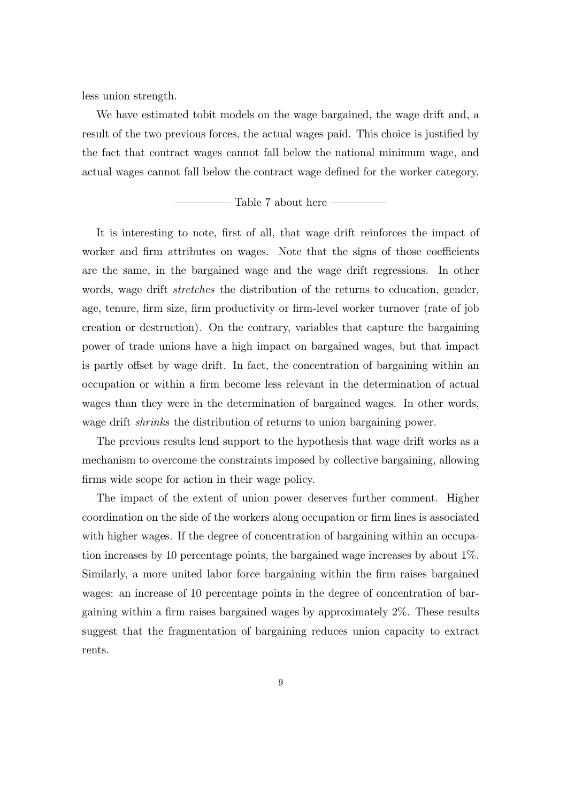less union strength.

We have estimated tobit models on the wage bargained, the wage drift and, a result of the two previous forces, the actual wages paid. This choice is justified by the fact that contract wages cannot fall below the national minimum wage, and actual wages cannot fall below the contract wage defined for the worker category.

Table 7 about here

It is interesting to note, first of all, that wage drift reinforces the impact of worker and firm attributes on wages. Note that the signs of those coefficients are the same, in the bargained wage and the wage drift regressions. In other words, wage drift *stretches* the distribution of the returns to education, gender, age, tenure, firm size, firm productivity or firm-level worker turnover (rate of job creation or destruction). On the contrary, variables that capture the bargaining power of trade unions have a high impact on bargained wages, but that impact is partly offset by wage drift. In fact, the concentration of bargaining within an occupation or within a firm become less relevant in the determination of actual wages than they were in the determination of bargained wages. In other words, wage drift *shrinks* the distribution of returns to union bargaining power.

The previous results lend support to the hypothesis that wage drift works as a mechanism to overcome the constraints imposed by collective bargaining, allowing firms wide scope for action in their wage policy.

The impact of the extent of union power deserves further comment. Higher coordination on the side of the workers along occupation or firm lines is associated with higher wages. If the degree of concentration of bargaining within an occupation increases by 10 percentage points, the bargained wage increases by about 1%. Similarly, a more united labor force bargaining within the firm raises bargained wages: an increase of 10 percentage points in the degree of concentration of bargaining within a firm raises bargained wages by approximately  $2\%$ . These results suggest that the fragmentation of bargaining reduces union capacity to extract rents.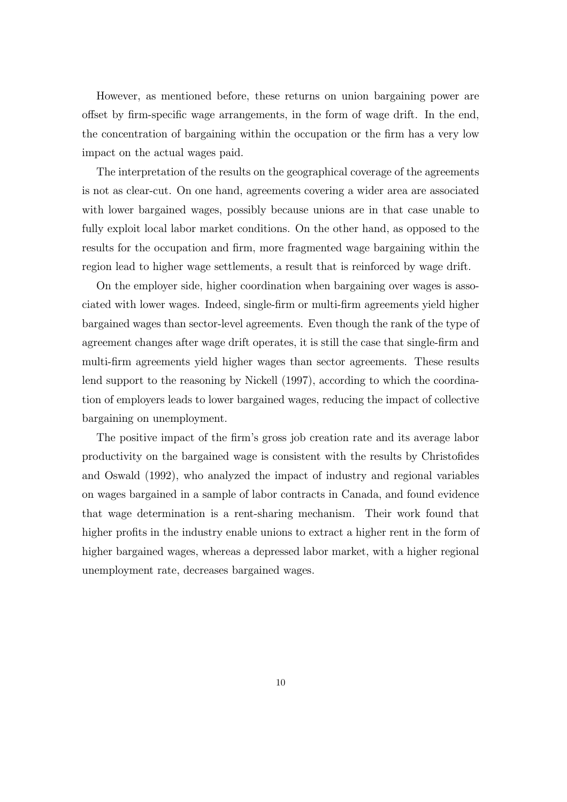However, as mentioned before, these returns on union bargaining power are offset by firm-specific wage arrangements, in the form of wage drift. In the end, the concentration of bargaining within the occupation or the firm has a very low impact on the actual wages paid.

The interpretation of the results on the geographical coverage of the agreements is not as clear-cut. On one hand, agreements covering a wider area are associated with lower bargained wages, possibly because unions are in that case unable to fully exploit local labor market conditions. On the other hand, as opposed to the results for the occupation and firm, more fragmented wage bargaining within the region lead to higher wage settlements, a result that is reinforced by wage drift.

On the employer side, higher coordination when bargaining over wages is associated with lower wages. Indeed, single-firm or multi-firm agreements yield higher bargained wages than sector-level agreements. Even though the rank of the type of agreement changes after wage drift operates, it is still the case that single-firm and multi-firm agreements yield higher wages than sector agreements. These results lend support to the reasoning by Nickell (1997), according to which the coordination of employers leads to lower bargained wages, reducing the impact of collective bargaining on unemployment.

The positive impact of the firm's gross job creation rate and its average labor productivity on the bargained wage is consistent with the results by Christofides and Oswald (1992), who analyzed the impact of industry and regional variables on wages bargained in a sample of labor contracts in Canada, and found evidence that wage determination is a rent-sharing mechanism. Their work found that higher profits in the industry enable unions to extract a higher rent in the form of higher bargained wages, whereas a depressed labor market, with a higher regional unemployment rate, decreases bargained wages.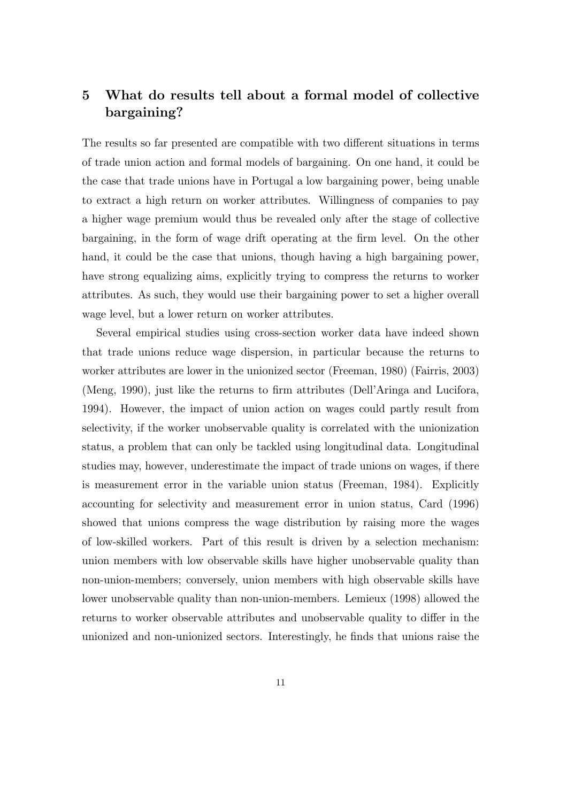## 5 What do results tell about a formal model of collective bargaining?

The results so far presented are compatible with two different situations in terms of trade union action and formal models of bargaining. On one hand, it could be the case that trade unions have in Portugal a low bargaining power, being unable to extract a high return on worker attributes. Willingness of companies to pay a higher wage premium would thus be revealed only after the stage of collective bargaining, in the form of wage drift operating at the firm level. On the other hand, it could be the case that unions, though having a high bargaining power, have strong equalizing aims, explicitly trying to compress the returns to worker attributes. As such, they would use their bargaining power to set a higher overall wage level, but a lower return on worker attributes.

Several empirical studies using cross-section worker data have indeed shown that trade unions reduce wage dispersion, in particular because the returns to worker attributes are lower in the unionized sector (Freeman, 1980) (Fairris, 2003) (Meng, 1990), just like the returns to firm attributes (Dell'Aringa and Lucifora, 1994). However, the impact of union action on wages could partly result from selectivity, if the worker unobservable quality is correlated with the unionization status, a problem that can only be tackled using longitudinal data. Longitudinal studies may, however, underestimate the impact of trade unions on wages, if there is measurement error in the variable union status (Freeman, 1984). Explicitly accounting for selectivity and measurement error in union status, Card (1996) showed that unions compress the wage distribution by raising more the wages of low-skilled workers. Part of this result is driven by a selection mechanism: union members with low observable skills have higher unobservable quality than non-union-members; conversely, union members with high observable skills have lower unobservable quality than non-union-members. Lemieux (1998) allowed the returns to worker observable attributes and unobservable quality to differ in the unionized and non-unionized sectors. Interestingly, he finds that unions raise the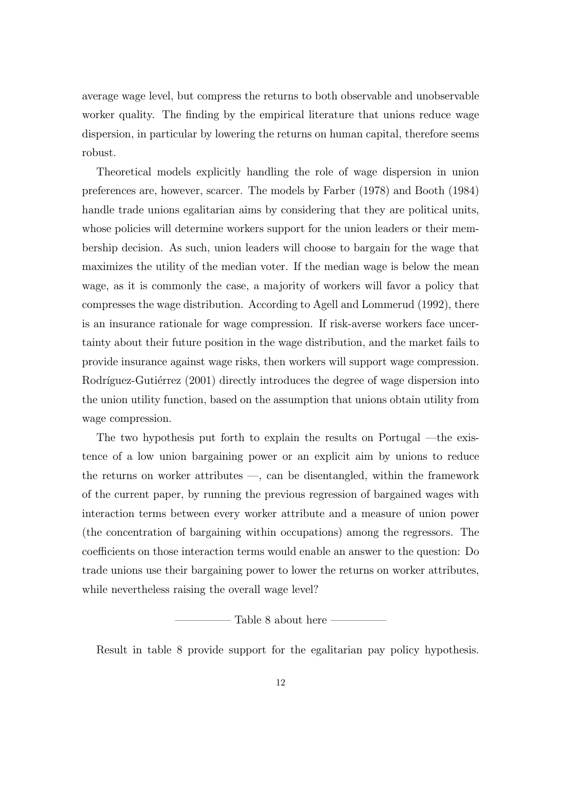average wage level, but compress the returns to both observable and unobservable worker quality. The finding by the empirical literature that unions reduce wage dispersion, in particular by lowering the returns on human capital, therefore seems robust.

Theoretical models explicitly handling the role of wage dispersion in union preferences are, however, scarcer. The models by Farber (1978) and Booth (1984) handle trade unions egalitarian aims by considering that they are political units, whose policies will determine workers support for the union leaders or their membership decision. As such, union leaders will choose to bargain for the wage that maximizes the utility of the median voter. If the median wage is below the mean wage, as it is commonly the case, a majority of workers will favor a policy that compresses the wage distribution. According to Agell and Lommerud (1992), there is an insurance rationale for wage compression. If risk-averse workers face uncertainty about their future position in the wage distribution, and the market fails to provide insurance against wage risks, then workers will support wage compression. Rodríguez-Gutiérrez (2001) directly introduces the degree of wage dispersion into the union utility function, based on the assumption that unions obtain utility from wage compression.

The two hypothesis put forth to explain the results on Portugal  $-\theta$  existence of a low union bargaining power or an explicit aim by unions to reduce the returns on worker attributes  $-$ , can be disentangled, within the framework of the current paper, by running the previous regression of bargained wages with interaction terms between every worker attribute and a measure of union power (the concentration of bargaining within occupations) among the regressors. The coefficients on those interaction terms would enable an answer to the question: Do trade unions use their bargaining power to lower the returns on worker attributes, while nevertheless raising the overall wage level?

Table 8 about here

Result in table 8 provide support for the egalitarian pay policy hypothesis.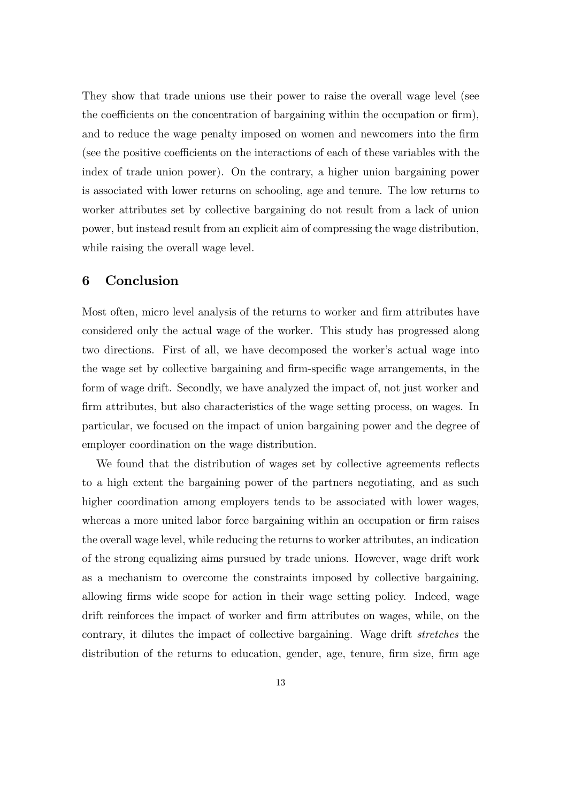They show that trade unions use their power to raise the overall wage level (see the coefficients on the concentration of bargaining within the occupation or firm), and to reduce the wage penalty imposed on women and newcomers into the firm (see the positive coefficients on the interactions of each of these variables with the index of trade union power). On the contrary, a higher union bargaining power is associated with lower returns on schooling, age and tenure. The low returns to worker attributes set by collective bargaining do not result from a lack of union power, but instead result from an explicit aim of compressing the wage distribution, while raising the overall wage level.

#### 6 Conclusion

Most often, micro level analysis of the returns to worker and firm attributes have considered only the actual wage of the worker. This study has progressed along two directions. First of all, we have decomposed the worker's actual wage into the wage set by collective bargaining and firm-specific wage arrangements, in the form of wage drift. Secondly, we have analyzed the impact of, not just worker and firm attributes, but also characteristics of the wage setting process, on wages. In particular, we focused on the impact of union bargaining power and the degree of employer coordination on the wage distribution.

We found that the distribution of wages set by collective agreements reflects to a high extent the bargaining power of the partners negotiating, and as such higher coordination among employers tends to be associated with lower wages, whereas a more united labor force bargaining within an occupation or firm raises the overall wage level, while reducing the returns to worker attributes, an indication of the strong equalizing aims pursued by trade unions. However, wage drift work as a mechanism to overcome the constraints imposed by collective bargaining, allowing firms wide scope for action in their wage setting policy. Indeed, wage drift reinforces the impact of worker and firm attributes on wages, while, on the contrary, it dilutes the impact of collective bargaining. Wage drift stretches the distribution of the returns to education, gender, age, tenure, firm size, firm age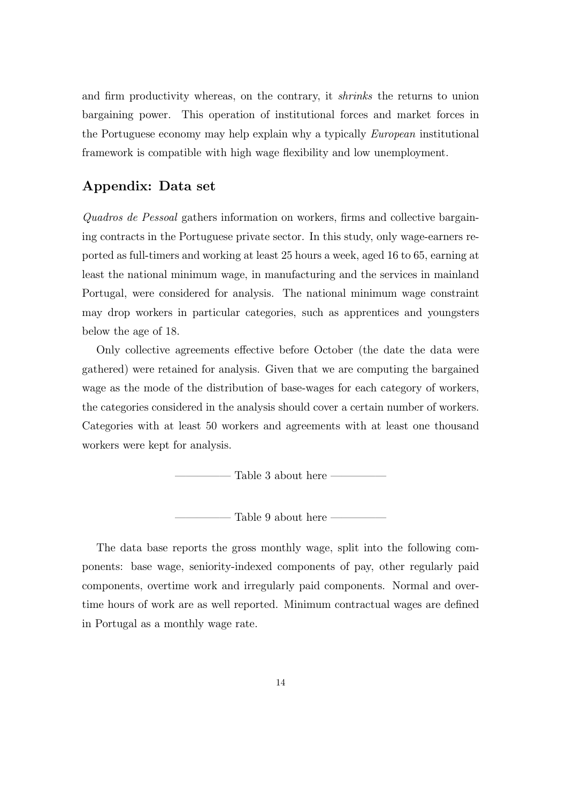and firm productivity whereas, on the contrary, it *shrinks* the returns to union bargaining power. This operation of institutional forces and market forces in the Portuguese economy may help explain why a typically European institutional framework is compatible with high wage flexibility and low unemployment.

#### Appendix: Data set

 $Quadros de Pessoal$  gathers information on workers, firms and collective bargaining contracts in the Portuguese private sector. In this study, only wage-earners reported as full-timers and working at least 25 hours a week, aged 16 to 65, earning at least the national minimum wage, in manufacturing and the services in mainland Portugal, were considered for analysis. The national minimum wage constraint may drop workers in particular categories, such as apprentices and youngsters below the age of 18.

Only collective agreements effective before October (the date the data were gathered) were retained for analysis. Given that we are computing the bargained wage as the mode of the distribution of base-wages for each category of workers, the categories considered in the analysis should cover a certain number of workers. Categories with at least 50 workers and agreements with at least one thousand workers were kept for analysis.

Table 3 about here  $-$ 

Table 9 about here -

The data base reports the gross monthly wage, split into the following components: base wage, seniority-indexed components of pay, other regularly paid components, overtime work and irregularly paid components. Normal and overtime hours of work are as well reported. Minimum contractual wages are defined in Portugal as a monthly wage rate.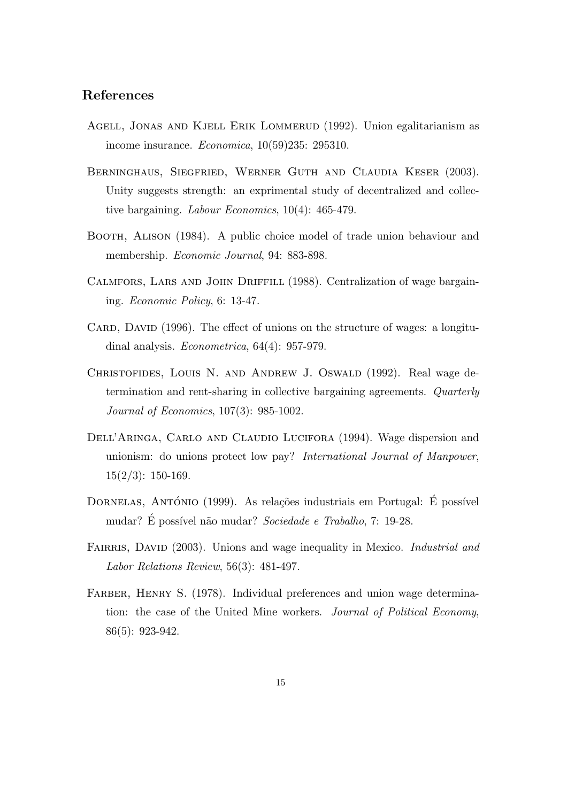#### References

- Agell, Jonas and Kjell Erik Lommerud (1992). Union egalitarianism as income insurance. Economica, 10(59)235: 295310.
- Berninghaus, Siegfried, Werner Guth and Claudia Keser (2003). Unity suggests strength: an exprimental study of decentralized and collective bargaining. Labour Economics, 10(4): 465-479.
- BOOTH, ALISON (1984). A public choice model of trade union behaviour and membership. Economic Journal, 94: 883-898.
- Calmfors, Lars and John Driffill (1988). Centralization of wage bargaining. Economic Policy, 6: 13-47.
- CARD, DAVID (1996). The effect of unions on the structure of wages: a longitudinal analysis. Econometrica, 64(4): 957-979.
- CHRISTOFIDES, LOUIS N. AND ANDREW J. OSWALD (1992). Real wage determination and rent-sharing in collective bargaining agreements. Quarterly Journal of Economics, 107(3): 985-1002.
- DELL'ARINGA, CARLO AND CLAUDIO LUCIFORA (1994). Wage dispersion and unionism: do unions protect low pay? International Journal of Manpower,  $15(2/3)$ : 150-169.
- DORNELAS, ANTÓNIO (1999). As relações industriais em Portugal: É possível mudar? É possível não mudar? Sociedade e Trabalho, 7: 19-28.
- FAIRRIS, DAVID (2003). Unions and wage inequality in Mexico. *Industrial and* Labor Relations Review, 56(3): 481-497.
- FARBER, HENRY S. (1978). Individual preferences and union wage determination: the case of the United Mine workers. Journal of Political Economy, 86(5): 923-942.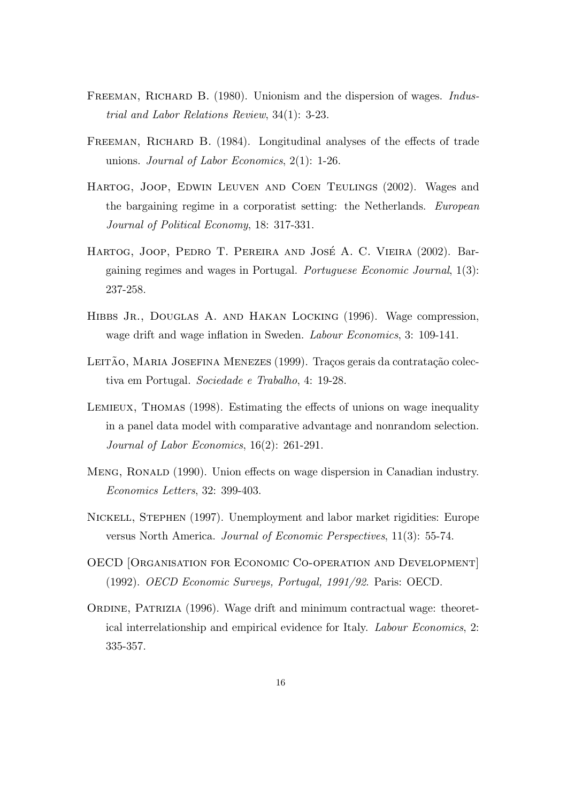- FREEMAN, RICHARD B. (1980). Unionism and the dispersion of wages. *Indus*trial and Labor Relations Review, 34(1): 3-23.
- FREEMAN, RICHARD B. (1984). Longitudinal analyses of the effects of trade unions. Journal of Labor Economics, 2(1): 1-26.
- Hartog, Joop, Edwin Leuven and Coen Teulings (2002). Wages and the bargaining regime in a corporatist setting: the Netherlands. European Journal of Political Economy, 18: 317-331.
- HARTOG, JOOP, PEDRO T. PEREIRA AND JOSÉ A. C. VIEIRA (2002). Bargaining regimes and wages in Portugal. Portuguese Economic Journal, 1(3): 237-258.
- HIBBS JR., DOUGLAS A. AND HAKAN LOCKING (1996). Wage compression, wage drift and wage inflation in Sweden. *Labour Economics*, 3: 109-141.
- LEITÃO, MARIA JOSEFINA MENEZES (1999). Traços gerais da contratação colectiva em Portugal. Sociedade e Trabalho, 4: 19-28.
- LEMIEUX, THOMAS (1998). Estimating the effects of unions on wage inequality in a panel data model with comparative advantage and nonrandom selection. Journal of Labor Economics, 16(2): 261-291.
- MENG, RONALD (1990). Union effects on wage dispersion in Canadian industry. Economics Letters, 32: 399-403.
- Nickell, Stephen (1997). Unemployment and labor market rigidities: Europe versus North America. Journal of Economic Perspectives, 11(3): 55-74.
- OECD [Organisation for Economic Co-operation and Development] (1992). OECD Economic Surveys, Portugal, 1991/92. Paris: OECD.
- ORDINE, PATRIZIA (1996). Wage drift and minimum contractual wage: theoretical interrelationship and empirical evidence for Italy. Labour Economics, 2: 335-357.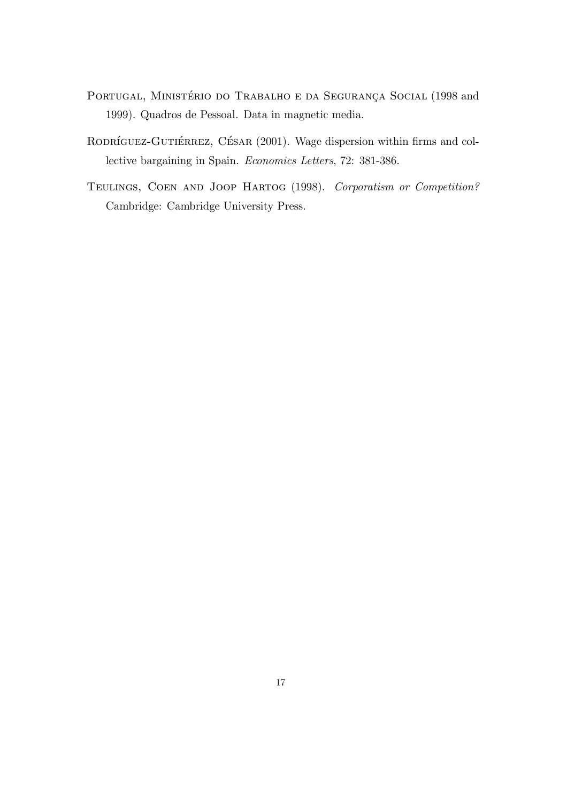- PORTUGAL, MINISTÉRIO DO TRABALHO E DA SEGURANÇA SOCIAL (1998 and 1999). Quadros de Pessoal. Data in magnetic media.
- RODRÍGUEZ-GUTIÉRREZ, CÉSAR (2001). Wage dispersion within firms and collective bargaining in Spain. Economics Letters, 72: 381-386.
- Teulings, Coen and Joop Hartog (1998). Corporatism or Competition? Cambridge: Cambridge University Press.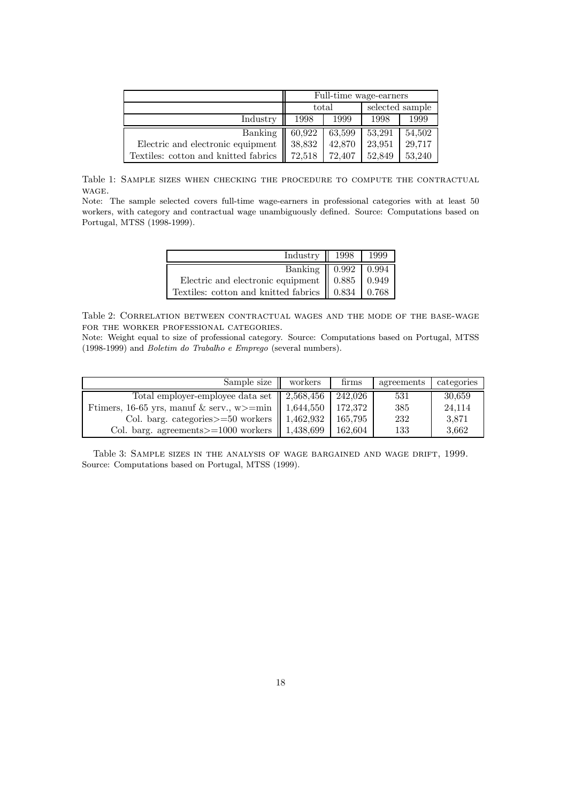|                                      | Full-time wage-earners     |        |                 |        |  |
|--------------------------------------|----------------------------|--------|-----------------|--------|--|
|                                      |                            | total  | selected sample |        |  |
| Industry                             | 1998<br>1999               |        | 1998            | 1999   |  |
| Banking                              | 60,922                     | 63,599 | 53,291          | 54,502 |  |
| Electric and electronic equipment    | 38,832                     | 42,870 | 23,951          | 29,717 |  |
| Textiles: cotton and knitted fabrics | 72.518<br>72.407<br>52.849 |        | 53,240          |        |  |

Table 1: Sample sizes when checking the procedure to compute the contractual wage.

Note: The sample selected covers full-time wage-earners in professional categories with at least 50 workers, with category and contractual wage unambiguously defined. Source: Computations based on Portugal, MTSS (1998-1999).

| Industry   $1998$   1999                                                                                                                                        |  |
|-----------------------------------------------------------------------------------------------------------------------------------------------------------------|--|
| $\begin{tabular}{l c c c} \hline \textbf{Banking} & 0.992 & 0.994 \\ \hline \textbf{Electric and electronic equipment} & 0.885 & 0.949 \\ \hline \end{tabular}$ |  |
|                                                                                                                                                                 |  |
| Textiles: cotton and knitted fabrics $\parallel$ 0.834 $\parallel$ 0.768                                                                                        |  |

Table 2: Correlation between contractual wages and the mode of the base-wage FOR THE WORKER PROFESSIONAL CATEGORIES.

Note: Weight equal to size of professional category. Source: Computations based on Portugal, MTSS (1998-1999) and Boletim do Trabalho e Emprego (several numbers).

| Sample size                                                                | workers | firms   | agreements | categories |
|----------------------------------------------------------------------------|---------|---------|------------|------------|
| Total employer-employee data set $\parallel$ 2,568,456 $\parallel$ 242,026 |         |         | 531        | 30,659     |
| Framers, 16-65 yrs, manuf & serv., w>=min    1,644,550   172,372           |         |         | 385        | 24,114     |
| Col. barg. categories $> = 50$ workers    1,462,932   165,795              |         |         | 232        | 3,871      |
| Col. barg. agreements $> = 1000$ workers $\parallel$ 1,438,699             |         | 162,604 | 133        | 3.662      |

Table 3: Sample sizes in the analysis of wage bargained and wage drift, 1999. Source: Computations based on Portugal, MTSS (1999).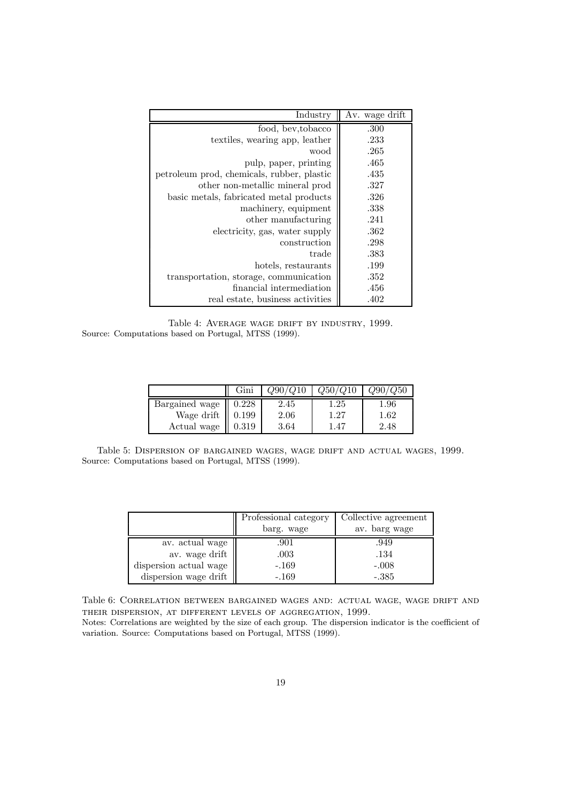| Industry                                   | Av. wage drift |
|--------------------------------------------|----------------|
| food, bey, to bacco                        | .300           |
| textiles, wearing app, leather             | .233           |
| wood                                       | .265           |
| pulp, paper, printing                      | .465           |
| petroleum prod, chemicals, rubber, plastic | .435           |
| other non-metallic mineral prod            | .327           |
| basic metals, fabricated metal products    | .326           |
| machinery, equipment                       | .338           |
| other manufacturing                        | .241           |
| electricity, gas, water supply             | .362           |
| construction                               | .298           |
| trade                                      | .383           |
| hotels, restaurants                        | .199           |
| transportation, storage, communication     | .352           |
| financial intermediation                   | .456           |
| real estate, business activities           | .402           |

Table 4: Average wage drift by industry, 1999. Source: Computations based on Portugal, MTSS (1999).

|                | Gini      |          | Q50/     | Q90/Q50  |
|----------------|-----------|----------|----------|----------|
| Bargained wage | 0.228     | 2.45     | 1.25     | $1.96\,$ |
| Wage drift     | $0.199\,$ | 2.06     | $1.27\,$ | $1.62\,$ |
| Actual wage    | ${0.319}$ | $3.64\,$ | 1.47     | 2.48     |

Table 5: Dispersion of bargained wages, wage drift and actual wages, 1999. Source: Computations based on Portugal, MTSS (1999).

|                        | Professional category<br>barg. wage | Collective agreement<br>av. barg wage |
|------------------------|-------------------------------------|---------------------------------------|
| av. actual wage        | .901                                | .949                                  |
| av. wage drift         | $.003\,$                            | .134                                  |
| dispersion actual wage | $-.169$                             | $-.008$                               |
| dispersion wage drift  | $-.169$                             | $-.385$                               |

Table 6: Correlation between bargained wages and: actual wage, wage drift and their dispersion, at different levels of aggregation, 1999.

Notes: Correlations are weighted by the size of each group. The dispersion indicator is the coefficient of variation. Source: Computations based on Portugal, MTSS (1999).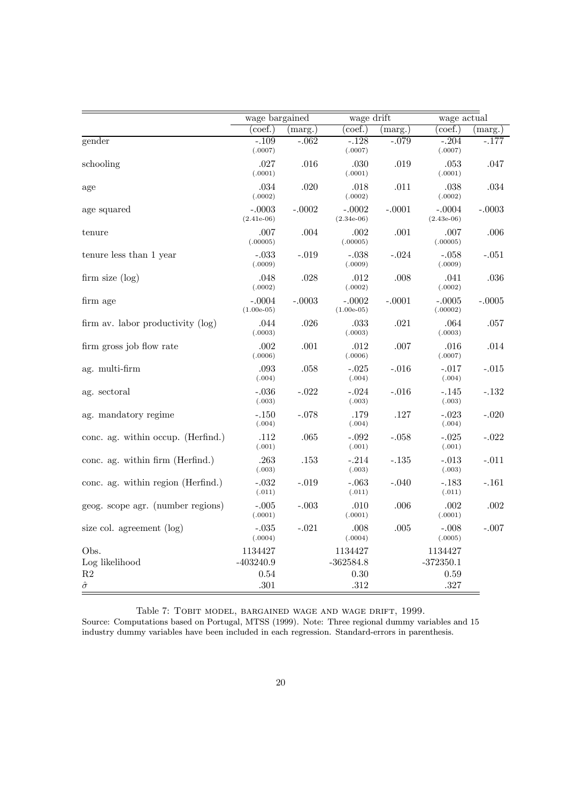|                                      | wage bargained           |          | wage drift               |          | wage actual              |          |
|--------------------------------------|--------------------------|----------|--------------------------|----------|--------------------------|----------|
|                                      | $(\text{coef.})$         | (marg.)  | coef.)                   | (marg.)  | $(\text{coef.})$         | (marg.)  |
| gender                               | $-.109$<br>(.0007)       | $-.062$  | $-.128$<br>(.0007)       | $-.079$  | $-.204$<br>(.0007)       | $-.177$  |
| schooling                            | .027<br>(.0001)          | .016     | .030<br>(.0001)          | .019     | .053<br>(.0001)          | .047     |
| age                                  | .034<br>(.0002)          | .020     | .018<br>(.0002)          | .011     | .038<br>(.0002)          | .034     |
| age squared                          | $-.0003$<br>$(2.41e-06)$ | $-.0002$ | $-.0002$<br>$(2.34e-06)$ | $-.0001$ | $-.0004$<br>$(2.43e-06)$ | $-.0003$ |
| tenure                               | .007<br>(.00005)         | .004     | .002<br>(.00005)         | .001     | .007<br>(.00005)         | .006     |
| tenure less than 1 year              | $-.033$<br>(.0009)       | $-.019$  | $-.038$<br>(.0009)       | $-.024$  | $-.058$<br>(.0009)       | $-.051$  |
| firm size (log)                      | .048<br>(.0002)          | .028     | .012<br>(.0002)          | .008     | .041<br>(.0002)          | .036     |
| firm age                             | $-.0004$<br>$(1.00e-05)$ | $-.0003$ | $-.0002$<br>$(1.00e-05)$ | $-.0001$ | $-.0005$<br>(.00002)     | $-.0005$ |
| firm av. labor productivity $(\log)$ | .044<br>(.0003)          | .026     | $.033\,$<br>(.0003)      | .021     | .064<br>(.0003)          | .057     |
| firm gross job flow rate             | .002<br>(.0006)          | .001     | .012<br>(.0006)          | .007     | .016<br>(.0007)          | .014     |
| ag. multi-firm                       | .093<br>(.004)           | .058     | $-.025$<br>(.004)        | $-.016$  | $-.017$<br>(.004)        | $-.015$  |
| ag. sectoral                         | $-.036$<br>(.003)        | $-.022$  | $-.024$<br>(.003)        | $-.016$  | $-.145$<br>(.003)        | $-132$   |
| ag. mandatory regime                 | $-.150$<br>(.004)        | -.078    | .179<br>(.004)           | .127     | $-.023$<br>(.004)        | $-.020$  |
| conc. ag. within occup. (Herfind.)   | .112<br>(.001)           | .065     | $-.092$<br>(.001)        | $-.058$  | $-.025$<br>(.001)        | $-.022$  |
| conc. ag. within firm (Herfind.)     | .263<br>(.003)           | .153     | $-.214$<br>(.003)        | $-.135$  | $-.013$<br>(.003)        | $-.011$  |
| conc. ag. within region (Herfind.)   | $-.032$<br>(.011)        | $-.019$  | -.063<br>(.011)          | $-.040$  | $-183$<br>(.011)         | $-.161$  |
| geog. scope agr. (number regions)    | $-.005$<br>(.0001)       | $-.003$  | .010<br>(.0001)          | .006     | .002<br>(.0001)          | .002     |
| size col. agreement (log)            | $-.035$<br>(.0004)       | $-.021$  | .008<br>(.0004)          | .005     | $-.008$<br>(.0005)       | $-.007$  |
| Obs.                                 | 1134427                  |          | 1134427                  |          | 1134427                  |          |
| Log likelihood                       | $-403240.9$              |          | $-362584.8$              |          | $-372350.1$              |          |
| R2                                   | 0.54                     |          | 0.30                     |          | 0.59                     |          |
| $\hat{\sigma}$                       | .301                     |          | .312                     |          | .327                     |          |

Table 7: Tobit model, bargained wage and wage drift, 1999.

Source: Computations based on Portugal, MTSS (1999). Note: Three regional dummy variables and 15 industry dummy variables have been included in each regression. Standard-errors in parenthesis.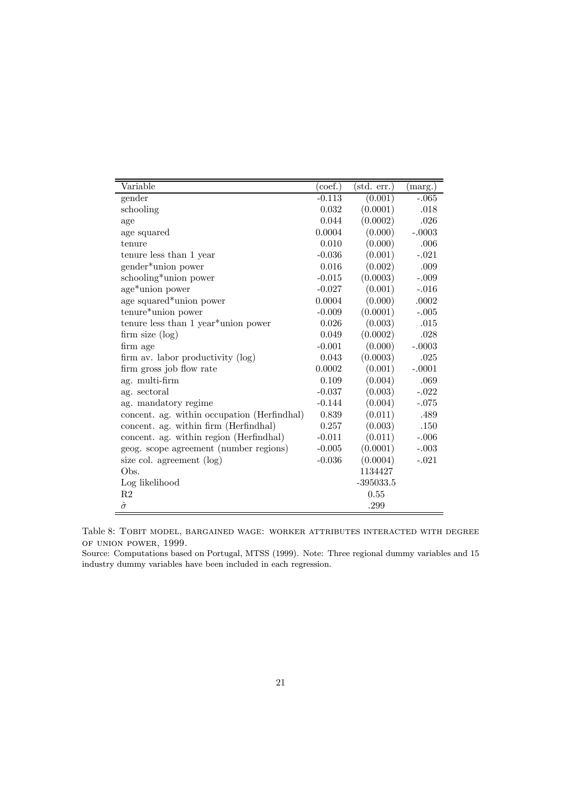| Variable                                    | $(\overline{\text{coef.}})$ | $(\text{std. err.})$ | (marg.)  |
|---------------------------------------------|-----------------------------|----------------------|----------|
| gender                                      | $-0.113$                    | (0.001)              | $-.065$  |
| schooling                                   | 0.032                       | (0.0001)             | .018     |
| age                                         | 0.044                       | (0.0002)             | .026     |
| age squared                                 | 0.0004                      | (0.000)              | $-.0003$ |
| tenure                                      | 0.010                       | (0.000)              | .006     |
| tenure less than 1 year                     | $-0.036$                    | (0.001)              | $-.021$  |
| gender*union power                          | 0.016                       | (0.002)              | .009     |
| schooling*union power                       | $-0.015$                    | (0.0003)             | $-.009$  |
| age*union power                             | $-0.027$                    | (0.001)              | $-.016$  |
| age squared*union power                     | 0.0004                      | (0.000)              | .0002    |
| tenure*union power                          | $-0.009$                    | (0.0001)             | $-.005$  |
| tenure less than 1 year*union power         | 0.026                       | (0.003)              | .015     |
| firm size (log)                             | 0.049                       | (0.0002)             | .028     |
| firm age                                    | $-0.001$                    | (0.000)              | $-.0003$ |
| firm av. labor productivity (log)           | 0.043                       | (0.0003)             | .025     |
| firm gross job flow rate                    | 0.0002                      | (0.001)              | $-.0001$ |
| ag. multi-firm                              | 0.109                       | (0.004)              | .069     |
| ag. sectoral                                | $-0.037$                    | (0.003)              | $-.022$  |
| ag. mandatory regime                        | $-0.144$                    | (0.004)              | $-.075$  |
| concent. ag. within occupation (Herfindhal) | 0.839                       | (0.011)              | .489     |
| concent. ag. within firm (Herfindhal)       | 0.257                       | (0.003)              | .150     |
| concent. ag. within region (Herfindhal)     | $-0.011$                    | (0.011)              | $-.006$  |
| geog. scope agreement (number regions)      | $-0.005$                    | (0.0001)             | $-.003$  |
| size col. agreement (log)                   | $-0.036$                    | (0.0004)             | $-.021$  |
| Obs.                                        |                             | 1134427              |          |
| Log likelihood                              |                             | $-395033.5$          |          |
| R <sub>2</sub>                              |                             | 0.55                 |          |
| $\hat{\sigma}$                              |                             | .299                 |          |

Table 8: Tobit model, bargained wage: worker attributes interacted with degree of union power, 1999.

Source: Computations based on Portugal, MTSS (1999). Note: Three regional dummy variables and 15 industry dummy variables have been included in each regression.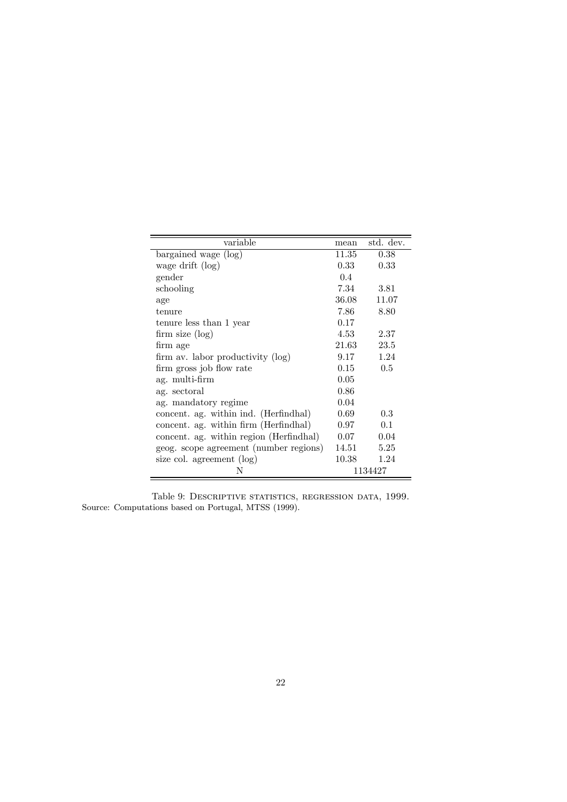| variable                                | mean     | std. dev. |
|-----------------------------------------|----------|-----------|
| bargained wage (log)                    | 11.35    | 0.38      |
| wage drift (log)                        | 0.33     | 0.33      |
| gender                                  | 0.4      |           |
| schooling                               | 7.34     | 3.81      |
| age                                     | 36.08    | 11.07     |
| tenure                                  | 7.86     | 8.80      |
| tenure less than 1 year                 | 0.17     |           |
| firm size (log)                         | 4.53     | 2.37      |
| firm age                                | 21.63    | 23.5      |
| firm av. labor productivity (log)       | 9.17     | 1.24      |
| firm gross job flow rate                | $0.15\,$ | 0.5       |
| ag. multi-firm                          | 0.05     |           |
| ag. sectoral                            | 0.86     |           |
| ag. mandatory regime                    | 0.04     |           |
| concent. ag. within ind. (Herfindhal)   | 0.69     | 0.3       |
| concent. ag. within firm (Herfindhal)   | 0.97     | 0.1       |
| concent. ag. within region (Herfindhal) | 0.07     | 0.04      |
| geog. scope agreement (number regions)  | 14.51    | 5.25      |
| size col. agreement (log)               | 10.38    | 1.24      |
| Ν                                       |          | 1134427   |

Table 9: Descriptive statistics, regression data, 1999. Source: Computations based on Portugal, MTSS (1999).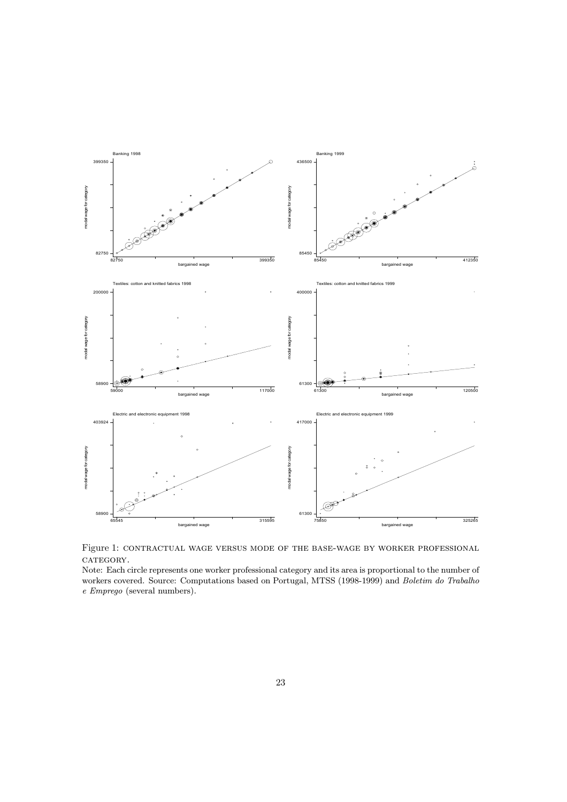

Figure 1: contractual wage versus mode of the base-wage by worker professional CATEGORY.

Note: Each circle represents one worker professional category and its area is proportional to the number of workers covered. Source: Computations based on Portugal, MTSS (1998-1999) and Boletim do Trabalho e Emprego (several numbers).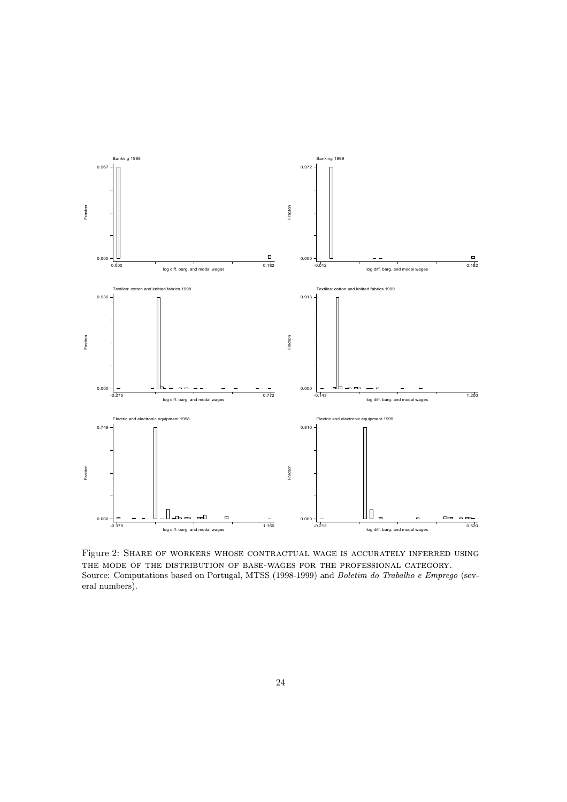

Figure 2: Share of workers whose contractual wage is accurately inferred using the mode of the distribution of base-wages for the professional category. Source: Computations based on Portugal, MTSS (1998-1999) and Boletim do Trabalho e Emprego (several numbers).